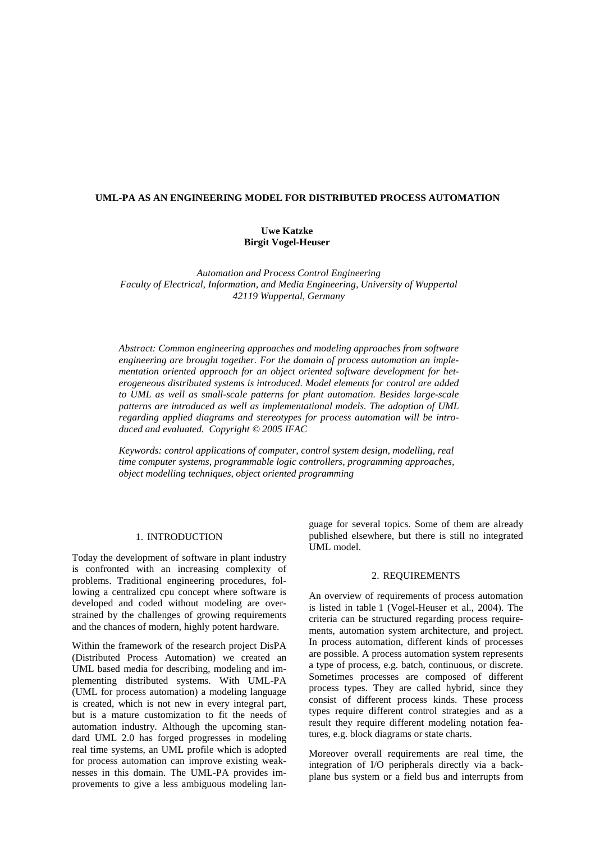## **UML-PA AS AN ENGINEERING MODEL FOR DISTRIBUTED PROCESS AUTOMATION**

# **Uwe Katzke Birgit Vogel-Heuser**

*Automation and Process Control Engineering Faculty of Electrical, Information, and Media Engineering, University of Wuppertal 42119 Wuppertal, Germany* 

*Abstract: Common engineering approaches and modeling approaches from software engineering are brought together. For the domain of process automation an implementation oriented approach for an object oriented software development for heterogeneous distributed systems is introduced. Model elements for control are added to UML as well as small-scale patterns for plant automation. Besides large-scale patterns are introduced as well as implementational models. The adoption of UML regarding applied diagrams and stereotypes for process automation will be introduced and evaluated. Copyright © 2005 IFAC* 

*Keywords: control applications of computer, control system design, modelling, real time computer systems, programmable logic controllers, programming approaches, object modelling techniques, object oriented programming* 

### 1. INTRODUCTION

Today the development of software in plant industry is confronted with an increasing complexity of problems. Traditional engineering procedures, following a centralized cpu concept where software is developed and coded without modeling are overstrained by the challenges of growing requirements and the chances of modern, highly potent hardware.

Within the framework of the research project DisPA (Distributed Process Automation) we created an UML based media for describing, modeling and implementing distributed systems. With UML-PA (UML for process automation) a modeling language is created, which is not new in every integral part, but is a mature customization to fit the needs of automation industry. Although the upcoming standard UML 2.0 has forged progresses in modeling real time systems, an UML profile which is adopted for process automation can improve existing weaknesses in this domain. The UML-PA provides improvements to give a less ambiguous modeling language for several topics. Some of them are already published elsewhere, but there is still no integrated UML model.

### 2. REQUIREMENTS

An overview of requirements of process automation is listed in table 1 (Vogel-Heuser et al., 2004). The criteria can be structured regarding process requirements, automation system architecture, and project. In process automation, different kinds of processes are possible. A process automation system represents a type of process, e.g. batch, continuous, or discrete. Sometimes processes are composed of different process types. They are called hybrid, since they consist of different process kinds. These process types require different control strategies and as a result they require different modeling notation features, e.g. block diagrams or state charts.

Moreover overall requirements are real time, the integration of I/O peripherals directly via a backplane bus system or a field bus and interrupts from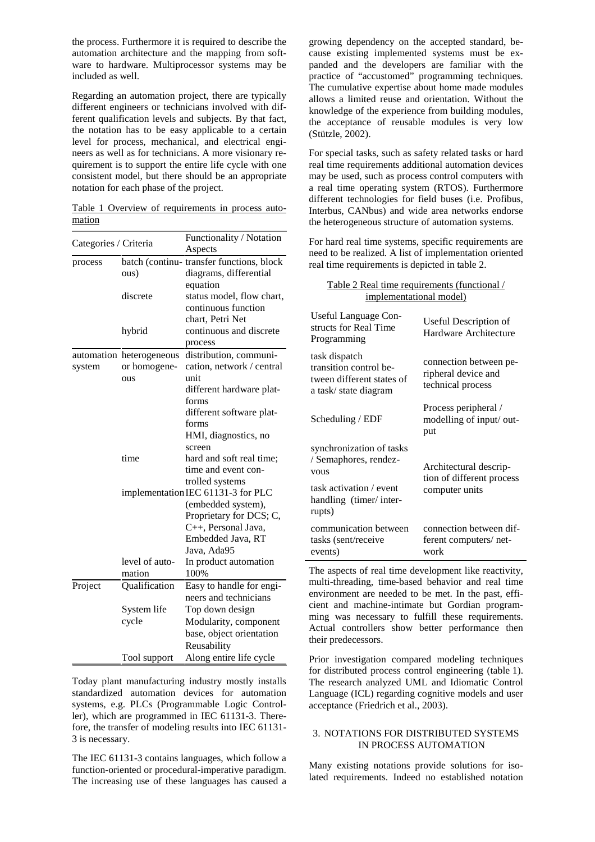the process. Furthermore it is required to describe the automation architecture and the mapping from software to hardware. Multiprocessor systems may be included as well.

Regarding an automation project, there are typically different engineers or technicians involved with different qualification levels and subjects. By that fact, the notation has to be easy applicable to a certain level for process, mechanical, and electrical engineers as well as for technicians. A more visionary requirement is to support the entire life cycle with one consistent model, but there should be an appropriate notation for each phase of the project.

Table 1 Overview of requirements in process automation

| Categories / Criteria |                          | Functionality / Notation                 |
|-----------------------|--------------------------|------------------------------------------|
|                       |                          | Aspects                                  |
| process               |                          | batch (continu-transfer functions, block |
|                       | ous)                     | diagrams, differential                   |
|                       |                          | equation                                 |
|                       | discrete                 | status model, flow chart,                |
|                       |                          | continuous function                      |
|                       |                          | chart, Petri Net                         |
|                       | hybrid                   | continuous and discrete                  |
|                       |                          | process                                  |
|                       | automation heterogeneous | distribution, communi-                   |
| system                | or homogene-             | cation, network / central                |
|                       | ous                      | unit                                     |
|                       |                          | different hardware plat-                 |
|                       |                          | forms                                    |
|                       |                          | different software plat-                 |
|                       |                          | forms                                    |
|                       |                          | HMI, diagnostics, no                     |
|                       |                          | screen                                   |
|                       | time                     | hard and soft real time;                 |
|                       |                          | time and event con-                      |
|                       |                          | trolled systems                          |
|                       |                          | implementation IEC 61131-3 for PLC       |
|                       |                          | (embedded system),                       |
|                       |                          | Proprietary for DCS; C,                  |
|                       |                          | C++, Personal Java,                      |
|                       |                          | Embedded Java, RT                        |
|                       |                          | Java, Ada95                              |
|                       | level of auto-           | In product automation                    |
|                       | mation                   | 100%                                     |
| Project               | Qualification            | Easy to handle for engi-                 |
|                       |                          | neers and technicians                    |
|                       | System life              | Top down design                          |
|                       | cycle                    | Modularity, component                    |
|                       |                          | base, object orientation                 |
|                       |                          | Reusability                              |
|                       | Tool support             | Along entire life cycle                  |

Today plant manufacturing industry mostly installs standardized automation devices for automation systems, e.g. PLCs (Programmable Logic Controller), which are programmed in IEC 61131-3. Therefore, the transfer of modeling results into IEC 61131- 3 is necessary.

The IEC 61131-3 contains languages, which follow a function-oriented or procedural-imperative paradigm. The increasing use of these languages has caused a

growing dependency on the accepted standard, because existing implemented systems must be expanded and the developers are familiar with the practice of "accustomed" programming techniques. The cumulative expertise about home made modules allows a limited reuse and orientation. Without the knowledge of the experience from building modules, the acceptance of reusable modules is very low (Stützle, 2002).

For special tasks, such as safety related tasks or hard real time requirements additional automation devices may be used, such as process control computers with a real time operating system (RTOS). Furthermore different technologies for field buses (i.e. Profibus, Interbus, CANbus) and wide area networks endorse the heterogeneous structure of automation systems.

For hard real time systems, specific requirements are need to be realized. A list of implementation oriented real time requirements is depicted in table 2.

Table 2 Real time requirements (functional /

| implementational model)                                                                                                         |                                                                       |  |
|---------------------------------------------------------------------------------------------------------------------------------|-----------------------------------------------------------------------|--|
| Useful Language Con-<br>structs for Real Time<br>Programming                                                                    | Useful Description of<br>Hardware Architecture                        |  |
| task dispatch<br>transition control be-<br>tween different states of<br>a task/state diagram                                    | connection between pe-<br>ripheral device and<br>technical process    |  |
| Scheduling / EDF                                                                                                                | Process peripheral /<br>modelling of input/ out-<br>put               |  |
| synchronization of tasks<br>/ Semaphores, rendez-<br><b>VOUS</b><br>task activation / event<br>handling (timer/inter-<br>rupts) | Architectural descrip-<br>tion of different process<br>computer units |  |
| communication between<br>tasks (sent/receive<br>events)                                                                         | connection between dif-<br>ferent computers/net-<br>work              |  |

The aspects of real time development like reactivity, multi-threading, time-based behavior and real time environment are needed to be met. In the past, efficient and machine-intimate but Gordian programming was necessary to fulfill these requirements. Actual controllers show better performance then their predecessors.

Prior investigation compared modeling techniques for distributed process control engineering (table 1). The research analyzed UML and Idiomatic Control Language (ICL) regarding cognitive models and user acceptance (Friedrich et al., 2003).

## 3. NOTATIONS FOR DISTRIBUTED SYSTEMS IN PROCESS AUTOMATION

Many existing notations provide solutions for isolated requirements. Indeed no established notation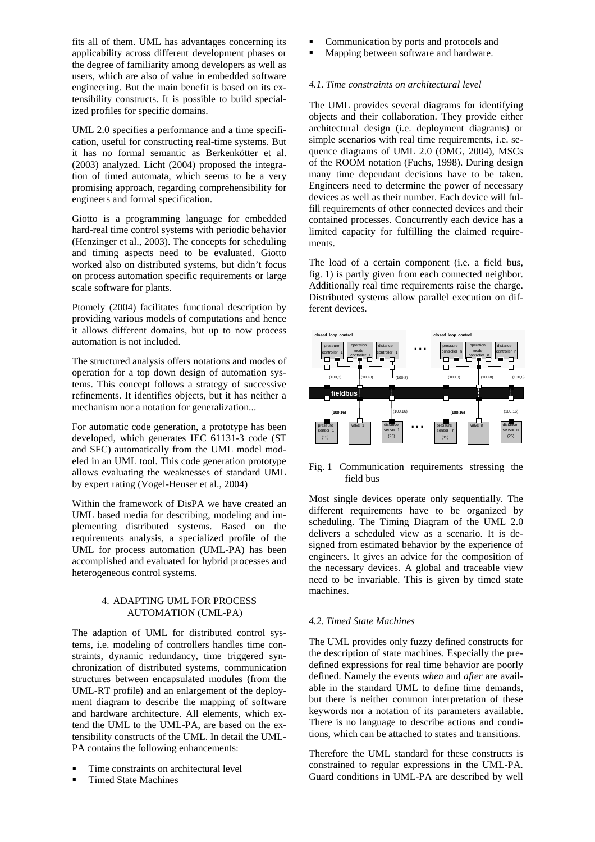fits all of them. UML has advantages concerning its applicability across different development phases or the degree of familiarity among developers as well as users, which are also of value in embedded software engineering. But the main benefit is based on its extensibility constructs. It is possible to build specialized profiles for specific domains.

UML 2.0 specifies a performance and a time specification, useful for constructing real-time systems. But it has no formal semantic as Berkenkötter et al. (2003) analyzed. Licht (2004) proposed the integration of timed automata, which seems to be a very promising approach, regarding comprehensibility for engineers and formal specification.

Giotto is a programming language for embedded hard-real time control systems with periodic behavior (Henzinger et al., 2003). The concepts for scheduling and timing aspects need to be evaluated. Giotto worked also on distributed systems, but didn't focus on process automation specific requirements or large scale software for plants.

Ptomely (2004) facilitates functional description by providing various models of computations and hence it allows different domains, but up to now process automation is not included.

The structured analysis offers notations and modes of operation for a top down design of automation systems. This concept follows a strategy of successive refinements. It identifies objects, but it has neither a mechanism nor a notation for generalization...

For automatic code generation, a prototype has been developed, which generates IEC 61131-3 code (ST and SFC) automatically from the UML model modeled in an UML tool. This code generation prototype allows evaluating the weaknesses of standard UML by expert rating (Vogel-Heuser et al., 2004)

Within the framework of DisPA we have created an UML based media for describing, modeling and implementing distributed systems. Based on the requirements analysis, a specialized profile of the UML for process automation (UML-PA) has been accomplished and evaluated for hybrid processes and heterogeneous control systems.

# 4. ADAPTING UML FOR PROCESS AUTOMATION (UML-PA)

The adaption of UML for distributed control systems, i.e. modeling of controllers handles time constraints, dynamic redundancy, time triggered synchronization of distributed systems, communication structures between encapsulated modules (from the UML-RT profile) and an enlargement of the deployment diagram to describe the mapping of software and hardware architecture. All elements, which extend the UML to the UML-PA, are based on the extensibility constructs of the UML. In detail the UML-PA contains the following enhancements:

- Time constraints on architectural level
- Timed State Machines
- Communication by ports and protocols and
- Mapping between software and hardware.

#### *4.1. Time constraints on architectural level*

The UML provides several diagrams for identifying objects and their collaboration. They provide either architectural design (i.e. deployment diagrams) or simple scenarios with real time requirements, i.e. sequence diagrams of UML 2.0 (OMG, 2004), MSCs of the ROOM notation (Fuchs, 1998). During design many time dependant decisions have to be taken. Engineers need to determine the power of necessary devices as well as their number. Each device will fulfill requirements of other connected devices and their contained processes. Concurrently each device has a limited capacity for fulfilling the claimed requirements.

The load of a certain component (i.e. a field bus, fig. 1) is partly given from each connected neighbor. Additionally real time requirements raise the charge. Distributed systems allow parallel execution on different devices.



Fig. 1 Communication requirements stressing the field bus

Most single devices operate only sequentially. The different requirements have to be organized by scheduling. The Timing Diagram of the UML 2.0 delivers a scheduled view as a scenario. It is designed from estimated behavior by the experience of engineers. It gives an advice for the composition of the necessary devices. A global and traceable view need to be invariable. This is given by timed state machines.

# *4.2. Timed State Machines*

The UML provides only fuzzy defined constructs for the description of state machines. Especially the predefined expressions for real time behavior are poorly defined. Namely the events *when* and *after* are available in the standard UML to define time demands, but there is neither common interpretation of these keywords nor a notation of its parameters available. There is no language to describe actions and conditions, which can be attached to states and transitions.

Therefore the UML standard for these constructs is constrained to regular expressions in the UML-PA. Guard conditions in UML-PA are described by well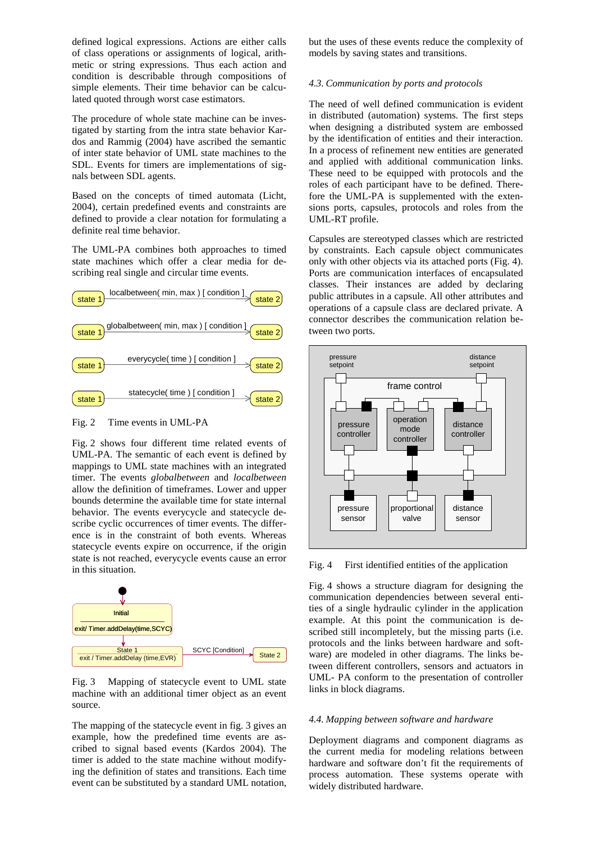defined logical expressions. Actions are either calls of class operations or assignments of logical, arithmetic or string expressions. Thus each action and condition is describable through compositions of simple elements. Their time behavior can be calculated quoted through worst case estimators.

The procedure of whole state machine can be investigated by starting from the intra state behavior Kardos and Rammig (2004) have ascribed the semantic of inter state behavior of UML state machines to the SDL. Events for timers are implementations of signals between SDL agents.

Based on the concepts of timed automata (Licht, 2004), certain predefined events and constraints are defined to provide a clear notation for formulating a definite real time behavior.

The UML-PA combines both approaches to timed state machines which offer a clear media for describing real single and circular time events.



Fig. 2 Time events in UML-PA

Fig. 2 shows four different time related events of UML-PA. The semantic of each event is defined by mappings to UML state machines with an integrated timer. The events *globalbetween* and *localbetween* allow the definition of timeframes. Lower and upper bounds determine the available time for state internal behavior. The events everycycle and statecycle describe cyclic occurrences of timer events. The difference is in the constraint of both events. Whereas statecycle events expire on occurrence, if the origin state is not reached, everycycle events cause an error in this situation.



Fig. 3 Mapping of statecycle event to UML state machine with an additional timer object as an event source.

The mapping of the statecycle event in fig. 3 gives an example, how the predefined time events are ascribed to signal based events (Kardos 2004). The timer is added to the state machine without modifying the definition of states and transitions. Each time event can be substituted by a standard UML notation,

but the uses of these events reduce the complexity of models by saving states and transitions.

## *4.3. Communication by ports and protocols*

The need of well defined communication is evident in distributed (automation) systems. The first steps when designing a distributed system are embossed by the identification of entities and their interaction. In a process of refinement new entities are generated and applied with additional communication links. These need to be equipped with protocols and the roles of each participant have to be defined. Therefore the UML-PA is supplemented with the extensions ports, capsules, protocols and roles from the UML-RT profile.

Capsules are stereotyped classes which are restricted by constraints. Each capsule object communicates only with other objects via its attached ports (Fig. 4). Ports are communication interfaces of encapsulated classes. Their instances are added by declaring public attributes in a capsule. All other attributes and operations of a capsule class are declared private. A connector describes the communication relation between two ports.



Fig. 4 First identified entities of the application

Fig. 4 shows a structure diagram for designing the communication dependencies between several entities of a single hydraulic cylinder in the application example. At this point the communication is described still incompletely, but the missing parts (i.e. protocols and the links between hardware and software) are modeled in other diagrams. The links between different controllers, sensors and actuators in UML- PA conform to the presentation of controller links in block diagrams.

### *4.4. Mapping between software and hardware*

Deployment diagrams and component diagrams as the current media for modeling relations between hardware and software don't fit the requirements of process automation. These systems operate with widely distributed hardware.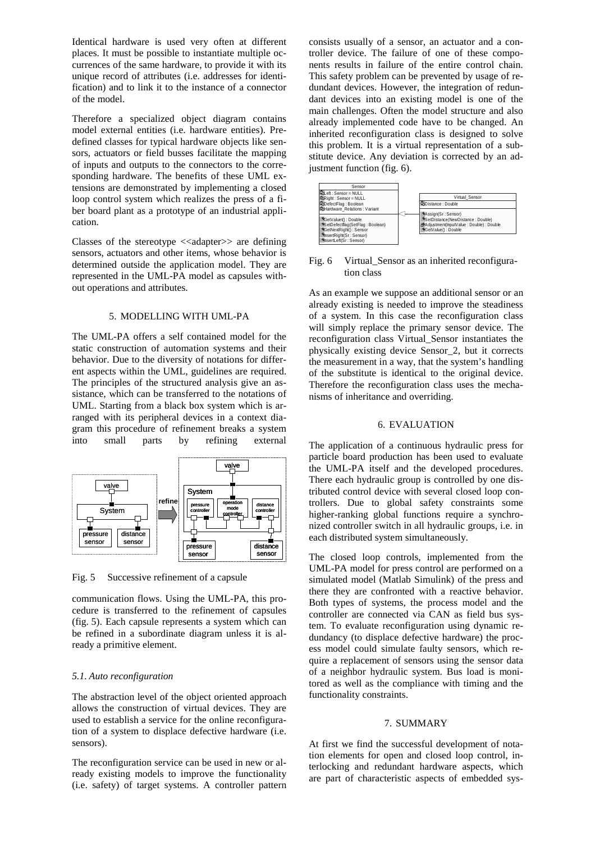Identical hardware is used very often at different places. It must be possible to instantiate multiple occurrences of the same hardware, to provide it with its unique record of attributes (i.e. addresses for identification) and to link it to the instance of a connector of the model.

Therefore a specialized object diagram contains model external entities (i.e. hardware entities). Predefined classes for typical hardware objects like sensors, actuators or field busses facilitate the mapping of inputs and outputs to the connectors to the corresponding hardware. The benefits of these UML extensions are demonstrated by implementing a closed loop control system which realizes the press of a fiber board plant as a prototype of an industrial application.

Classes of the stereotype  $\langle \langle \text{adapters} \rangle \rangle$  are defining sensors, actuators and other items, whose behavior is determined outside the application model. They are represented in the UML-PA model as capsules without operations and attributes.

## 5. MODELLING WITH UML-PA

The UML-PA offers a self contained model for the static construction of automation systems and their behavior. Due to the diversity of notations for different aspects within the UML, guidelines are required. The principles of the structured analysis give an assistance, which can be transferred to the notations of UML. Starting from a black box system which is arranged with its peripheral devices in a context diagram this procedure of refinement breaks a system into small parts by refining external



Fig. 5 Successive refinement of a capsule

communication flows. Using the UML-PA, this procedure is transferred to the refinement of capsules (fig. 5). Each capsule represents a system which can be refined in a subordinate diagram unless it is already a primitive element.

#### *5.1. Auto reconfiguration*

The abstraction level of the object oriented approach allows the construction of virtual devices. They are used to establish a service for the online reconfiguration of a system to displace defective hardware (i.e. sensors).

The reconfiguration service can be used in new or already existing models to improve the functionality (i.e. safety) of target systems. A controller pattern consists usually of a sensor, an actuator and a controller device. The failure of one of these components results in failure of the entire control chain. This safety problem can be prevented by usage of redundant devices. However, the integration of redundant devices into an existing model is one of the main challenges. Often the model structure and also already implemented code have to be changed. An inherited reconfiguration class is designed to solve this problem. It is a virtual representation of a substitute device. Any deviation is corrected by an adjustment function (fig. 6).



Fig. 6 Virtual Sensor as an inherited reconfiguration class

As an example we suppose an additional sensor or an already existing is needed to improve the steadiness of a system. In this case the reconfiguration class will simply replace the primary sensor device. The reconfiguration class Virtual\_Sensor instantiates the physically existing device Sensor\_2, but it corrects the measurement in a way, that the system's handling of the substitute is identical to the original device. Therefore the reconfiguration class uses the mechanisms of inheritance and overriding.

# 6. EVALUATION

The application of a continuous hydraulic press for particle board production has been used to evaluate the UML-PA itself and the developed procedures. There each hydraulic group is controlled by one distributed control device with several closed loop controllers. Due to global safety constraints some higher-ranking global functions require a synchronized controller switch in all hydraulic groups, i.e. in each distributed system simultaneously.

The closed loop controls, implemented from the UML-PA model for press control are performed on a simulated model (Matlab Simulink) of the press and there they are confronted with a reactive behavior. Both types of systems, the process model and the controller are connected via CAN as field bus system. To evaluate reconfiguration using dynamic redundancy (to displace defective hardware) the process model could simulate faulty sensors, which require a replacement of sensors using the sensor data of a neighbor hydraulic system. Bus load is monitored as well as the compliance with timing and the functionality constraints.

#### 7. SUMMARY

At first we find the successful development of notation elements for open and closed loop control, interlocking and redundant hardware aspects, which are part of characteristic aspects of embedded sys